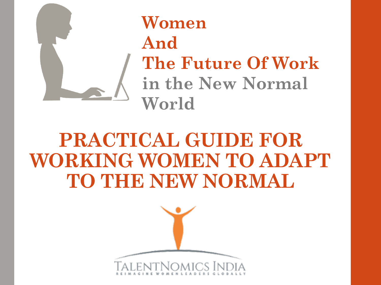

**Women And The Future Of Work in the New Normal World** 

## **PRACTICAL GUIDE FOR WORKING WOMEN TO ADAPT TO THE NEW NORMAL**

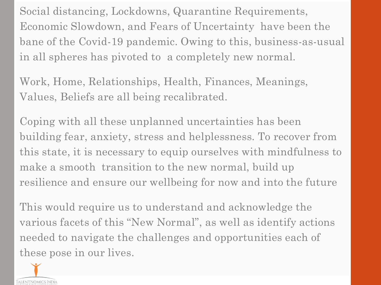Social distancing, Lockdowns, Quarantine Requirements, Economic Slowdown, and Fears of Uncertainty have been the bane of the Covid-19 pandemic. Owing to this, business-as-usual in all spheres has pivoted to a completely new normal.

Work, Home, Relationships, Health, Finances, Meanings, Values, Beliefs are all being recalibrated.

Coping with all these unplanned uncertainties has been building fear, anxiety, stress and helplessness. To recover from this state, it is necessary to equip ourselves with mindfulness to make a smooth transition to the new normal, build up resilience and ensure our wellbeing for now and into the future

This would require us to understand and acknowledge the various facets of this "New Normal", as well as identify actions needed to navigate the challenges and opportunities each of these pose in our lives.

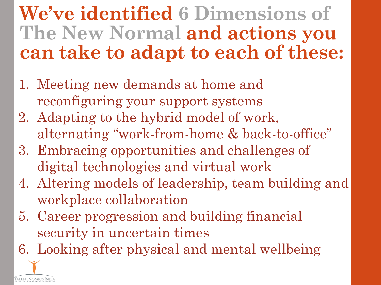### **We've identified 6 Dimensions of The New Normal and actions you can take to adapt to each of these:**

- 1. Meeting new demands at home and reconfiguring your support systems
- 2. Adapting to the hybrid model of work, alternating "work-from-home & back-to-office"
- 3. Embracing opportunities and challenges of digital technologies and virtual work
- 4. Altering models of leadership, team building and workplace collaboration
- 5. Career progression and building financial security in uncertain times
- 6. Looking after physical and mental wellbeing

`alentNomics Indi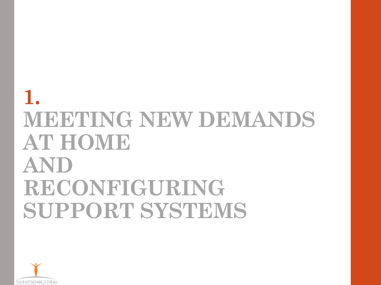## **1. MEETING NEW DEMANDS AT HOME AND RECONFIGURING SUPPORT SYSTEMS**

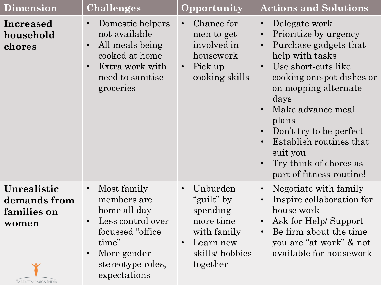| <b>Dimension</b>                                                          | Challenges                                                                                                                                                     | Opportunity                                                                                               | <b>Actions and Solutions</b>                                                                                                                                                                                                                                                                                                                                                                               |
|---------------------------------------------------------------------------|----------------------------------------------------------------------------------------------------------------------------------------------------------------|-----------------------------------------------------------------------------------------------------------|------------------------------------------------------------------------------------------------------------------------------------------------------------------------------------------------------------------------------------------------------------------------------------------------------------------------------------------------------------------------------------------------------------|
| <b>Increased</b><br>household<br>chores                                   | Domestic helpers<br>not available<br>All meals being<br>cooked at home<br>Extra work with<br>need to sanitise<br>groceries                                     | Chance for<br>men to get<br>involved in<br>housework<br>Pick up<br>$\bullet$<br>cooking skills            | Delegate work<br>$\bullet$<br>Prioritize by urgency<br>$\bullet$<br>Purchase gadgets that<br>$\bullet$<br>help with tasks<br>Use short-cuts like<br>$\bullet$<br>cooking one-pot dishes or<br>on mopping alternate<br>days<br>Make advance meal<br>$\bullet$<br>plans<br>Don't try to be perfect<br>Establish routines that<br>$\bullet$<br>suit you<br>Try think of chores as<br>part of fitness routine! |
| Unrealistic<br>demands from<br>families on<br>women<br>TALENTNOMICS INDIA | Most family<br>members are<br>home all day<br>Less control over<br>focussed "office"<br>time"<br>More gender<br>$\bullet$<br>stereotype roles,<br>expectations | Unburden<br>"guilt" by<br>spending<br>more time<br>with family<br>Learn new<br>skills/hobbies<br>together | Negotiate with family<br>$\bullet$<br>Inspire collaboration for<br>$\bullet$<br>house work<br>Ask for Help/Support<br>Be firm about the time<br>$\bullet$<br>you are "at work" & not<br>available for housework                                                                                                                                                                                            |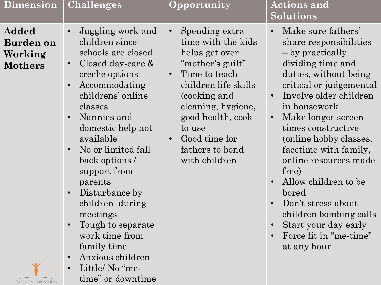| <b>Dimension</b>                                                                    | <b>Challenges</b>                                                                                                                                                                                                                                                                                                                                                                                                                                                                                                                                  | Opportunity                                                                                                                                                                                                                                                                          | <b>Actions and</b><br>Solutions                                                                                                                                                                                                                                                                                                                                                                                                                                                     |
|-------------------------------------------------------------------------------------|----------------------------------------------------------------------------------------------------------------------------------------------------------------------------------------------------------------------------------------------------------------------------------------------------------------------------------------------------------------------------------------------------------------------------------------------------------------------------------------------------------------------------------------------------|--------------------------------------------------------------------------------------------------------------------------------------------------------------------------------------------------------------------------------------------------------------------------------------|-------------------------------------------------------------------------------------------------------------------------------------------------------------------------------------------------------------------------------------------------------------------------------------------------------------------------------------------------------------------------------------------------------------------------------------------------------------------------------------|
| Added<br><b>Burden on</b><br>Working<br><b>Mothers</b><br><b>TalentNomics India</b> | Juggling work and<br>$\bullet$<br>children since<br>schools are closed<br>Closed day-care $\&$<br>$\bullet$<br>creche options<br>Accommodating<br>$\bullet$<br>childrens' online<br>classes<br>Nannies and<br>$\bullet$<br>domestic help not<br>available<br>No or limited fall<br>$\bullet$<br>back options /<br>support from<br>parents<br>Disturbance by<br>$\bullet$<br>children during<br>meetings<br>Tough to separate<br>work time from<br>family time<br>Anxious children<br>$\bullet$<br>Little/No "me-<br>$\bullet$<br>time" or downtime | Spending extra<br>$\bullet$<br>time with the kids<br>helps get over<br>"mother's guilt"<br>Time to teach<br>$\bullet$<br>children life skills<br>(cooking and<br>cleaning, hygiene,<br>good health, cook<br>to use<br>Good time for<br>$\bullet$<br>fathers to bond<br>with children | Make sure fathers'<br>share responsibilities<br>– by practically<br>dividing time and<br>duties, without being<br>critical or judgemental<br>Involve older children<br>in housework<br>Make longer screen<br>$\bullet$<br>times constructive<br>(online hobby classes,<br>facetime with family,<br>online resources made<br>free)<br>Allow children to be<br>bored<br>Don't stress about<br>children bombing calls<br>Start your day early<br>Force fit in "me-time"<br>at any hour |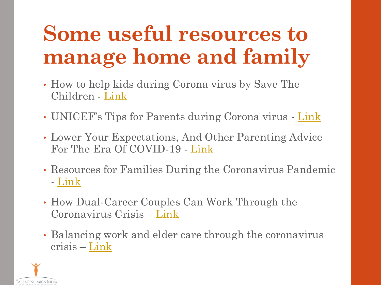# **Some useful resources to manage home and family**

- How to help kids during Corona virus by Save The Children - [Link](https://www.savethechildren.org/us/what-we-do/emergency-response/coronavirus-outbreak/resources)
- UNICEF's Tips for Parents during Corona virus [Link](https://www.unicef.org/media/67211/file)
- Lower Your Expectations, And Other Parenting Advice For The Era Of COVID-19 - [Link](https://www.cpr.org/2020/03/30/lower-your-expectations-and-other-parenting-advice-for-the-era-of-covid-19/)
- Resources for Families During the Coronavirus Pandemic - [Link](https://www.commonsensemedia.org/resources-for-families-during-the-coronavirus-pandemic)
- How Dual-Career Couples Can Work Through the Coronavirus Crisis – [Link](https://hbr.org/2020/03/how-dual-career-couples-can-work-through-the-coronavirus-crisis)
- Balancing work and elder care through the coronavirus crisis – [Link](https://hbr.org/2020/03/balancing-work-and-elder-care-through-the-coronavirus-crisis)

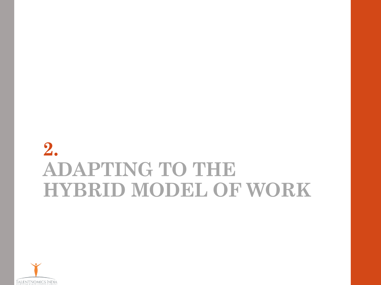### **2. ADAPTING TO THE HYBRID MODEL OF WORK**

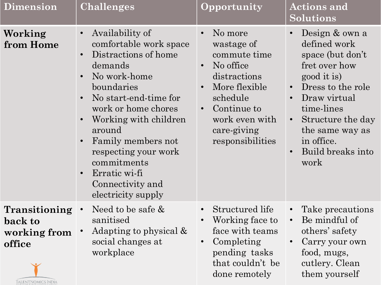| <b>Dimension</b>                                                         | <b>Challenges</b>                                                                                                                                                                                                                                                                                                                  | Opportunity                                                                                                                                                                      | <b>Actions and</b><br>Solutions                                                                                                                                                                                                                                                           |
|--------------------------------------------------------------------------|------------------------------------------------------------------------------------------------------------------------------------------------------------------------------------------------------------------------------------------------------------------------------------------------------------------------------------|----------------------------------------------------------------------------------------------------------------------------------------------------------------------------------|-------------------------------------------------------------------------------------------------------------------------------------------------------------------------------------------------------------------------------------------------------------------------------------------|
| Working<br>from Home                                                     | Availability of<br>$\bullet$<br>comfortable work space<br>Distractions of home<br>demands<br>No work-home<br>boundaries<br>No start-end-time for<br>work or home chores<br>Working with children<br>around<br>Family members not<br>respecting your work<br>commitments<br>Erratic wi-fi<br>Connectivity and<br>electricity supply | No more<br>wastage of<br>commute time<br>No office<br>distractions<br>More flexible<br>schedule<br>Continue to<br>$\bullet$<br>work even with<br>care-giving<br>responsibilities | Design & own a<br>$\bullet$<br>defined work<br>space (but don't<br>fret over how<br>good it is)<br>Dress to the role<br>$\bullet$<br>Draw virtual<br>$\bullet$<br>time-lines<br>Structure the day<br>$\bullet$<br>the same way as<br>in office.<br>Build breaks into<br>$\bullet$<br>work |
| Transitioning<br>back to<br>working from<br>office<br>TALENTNOMICS INDIA | Need to be safe &<br>sanitised<br>Adapting to physical &<br>social changes at<br>workplace                                                                                                                                                                                                                                         | Structured life<br>$\bullet$<br>Working face to<br>face with teams<br>Completing<br>pending tasks<br>that couldn't be<br>done remotely                                           | Take precautions<br>$\bullet$<br>Be mindful of<br>$\bullet$<br>others' safety<br>Carry your own<br>food, mugs,<br>cutlery. Clean<br>them yourself                                                                                                                                         |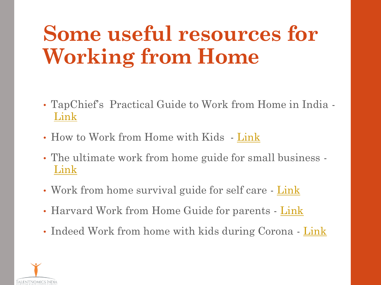# **Some useful resources for Working from Home**

- TapChief's Practical Guide to Work from Home in India [Link](https://www.tapchief.com/guide/work-from-home-india/)
- How to Work from Home with Kids [Link](https://www.inhersight.com/blog/how-to/how-to-work-from-home-with-kids?_n=77037835)
- The ultimate work from home guide for small business [Link](https://www.forbes.com/sites/advisor/2020/04/07/the-ultimate-small-business-work-from-home-guide/#3f91a1ae53b8)
- Work from home survival guide for self care [Link](https://www.everydayhealth.com/healthy-living/your-work-from-home-survival-guide-for-self-care/)
- Harvard Work from Home Guide for parents [Link](https://hbr.org/2020/03/a-guide-for-working-from-home-parents)
- Indeed Work from home with kids during Corona [Link](https://www.indeed.com/career-advice/career-development/working-from-home-with-kids)

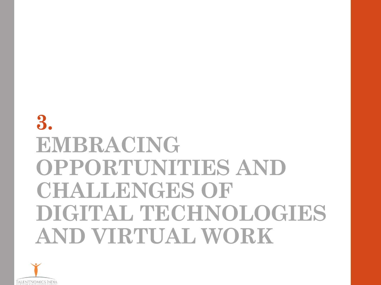## **3. EMBRACING OPPORTUNITIES AND CHALLENGES OF**  DIGITAL TECHNOLOGIES **AND VIRTUAL WORK**

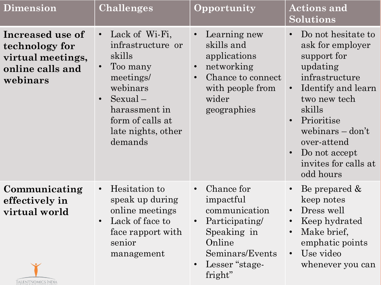| <b>Dimension</b>                                                                        | Challenges                                                                                                                                                                                       | Opportunity                                                                                                                                                                | <b>Actions and</b><br><b>Solutions</b>                                                                                                                                                                                                                                                                 |
|-----------------------------------------------------------------------------------------|--------------------------------------------------------------------------------------------------------------------------------------------------------------------------------------------------|----------------------------------------------------------------------------------------------------------------------------------------------------------------------------|--------------------------------------------------------------------------------------------------------------------------------------------------------------------------------------------------------------------------------------------------------------------------------------------------------|
| Increased use of<br>technology for<br>virtual meetings,<br>online calls and<br>webinars | Lack of Wi-Fi,<br>$\bullet$<br>infrastructure or<br>skills<br>Too many<br>meetings/<br>webinars<br>$Sexual -$<br>$\bullet$<br>harassment in<br>form of calls at<br>late nights, other<br>demands | Learning new<br>$\bullet$<br>skills and<br>applications<br>networking<br>$\bullet$<br>Chance to connect<br>$\bullet$<br>with people from<br>wider<br>geographies           | Do not hesitate to<br>$\bullet$<br>ask for employer<br>support for<br>updating<br>infrastructure<br>Identify and learn<br>$\bullet$<br>two new tech<br>skills<br>Prioritise<br>$\bullet$<br>webinars $-\text{don't}$<br>over-attend<br>Do not accept<br>$\bullet$<br>invites for calls at<br>odd hours |
| Communicating<br>effectively in<br>virtual world<br>TALENTNOMICS INDIA                  | Hesitation to<br>$\bullet$<br>speak up during<br>online meetings<br>Lack of face to<br>$\bullet$<br>face rapport with<br>senior<br>management                                                    | Chance for<br>$\bullet$<br>impactful<br>communication<br>Participating/<br>$\bullet$<br>Speaking in<br>Online<br>Seminars/Events<br>Lesser "stage-<br>$\bullet$<br>fright" | Be prepared &<br>$\bullet$<br>keep notes<br>Dress well<br>$\bullet$<br>Keep hydrated<br>$\bullet$<br>Make brief,<br>emphatic points<br>Use video<br>$\bullet$<br>whenever you can                                                                                                                      |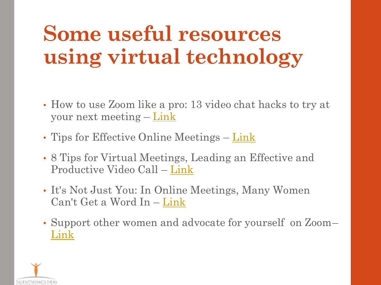# **Some useful resources using virtual technology**

- How to use Zoom like a pro: 13 video chat hacks to try at your next meeting – [Link](https://www.cnet.com/how-to/how-to-use-zoom-like-a-pro-13-video-chat-hacks-to-try-at-your-next-meeting/)
- Tips for Effective Online Meetings [Link](Tips for effective online meetings)
- 8 Tips for Virtual Meetings, Leading an Effective and Productive Video Call – [Link](https://detroitisit.com/virtual-meeting-effective-and-productive/)
- It's Not Just You: In Online Meetings, Many Women Can't Get a Word In – [Link](4. ready reckoner to become an inclusive & compassionate leader at the workplace 05-06.pptx)
- Support other women and advocate for yourself on Zoom– [Link](https://in.mashable.com/social-good/13713/how-to-be-a-better-ally-to-women-on-zoom)

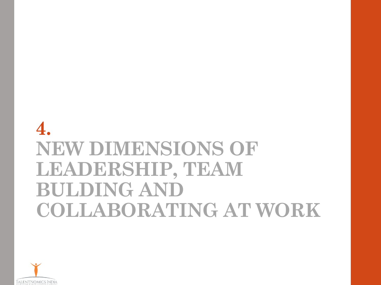### **4. NEW DIMENSIONS OF LEADERSHIP, TEAM BULDING AND COLLABORATING AT WORK**

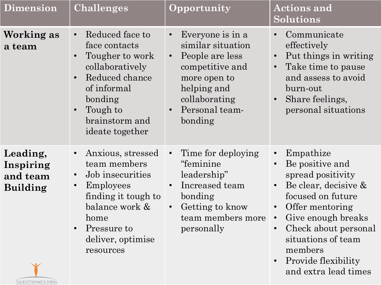| <b>Dimension</b>                                                                  | <b>Challenges</b>                                                                                                                                                                                                               | Opportunity                                                                                                                                                                                     | <b>Actions and</b><br><b>Solutions</b>                                                                                                                                                                                                                                                                                                     |
|-----------------------------------------------------------------------------------|---------------------------------------------------------------------------------------------------------------------------------------------------------------------------------------------------------------------------------|-------------------------------------------------------------------------------------------------------------------------------------------------------------------------------------------------|--------------------------------------------------------------------------------------------------------------------------------------------------------------------------------------------------------------------------------------------------------------------------------------------------------------------------------------------|
| Working as<br>a team                                                              | Reduced face to<br>$\bullet$<br>face contacts<br>Tougher to work<br>$\bullet$<br>collaboratively<br>Reduced chance<br>$\bullet$<br>of informal<br>bonding<br>Tough to<br>$\bullet$<br>brainstorm and<br>ideate together         | Everyone is in a<br>$\bullet$<br>similar situation<br>People are less<br>$\bullet$<br>competitive and<br>more open to<br>helping and<br>collaborating<br>Personal team-<br>$\bullet$<br>bonding | Communicate<br>$\bullet$<br>effectively<br>Put things in writing<br>$\bullet$<br>Take time to pause<br>$\bullet$<br>and assess to avoid<br>burn-out<br>Share feelings,<br>$\bullet$<br>personal situations                                                                                                                                 |
| Leading,<br>Inspiring<br>and team<br><b>Building</b><br><b>TALENTNOMICS INDIA</b> | Anxious, stressed<br>$\bullet$<br>team members<br>Job insecurities<br>$\bullet$<br><b>Employees</b><br>$\bullet$<br>finding it tough to<br>balance work &<br>home<br>Pressure to<br>$\bullet$<br>deliver, optimise<br>resources | Time for deploying<br>$\bullet$<br>"feminine<br>leadership"<br>Increased team<br>$\bullet$<br>bonding<br>Getting to know<br>$\bullet$<br>team members more<br>personally                        | Empathize<br>$\bullet$<br>Be positive and<br>$\bullet$<br>spread positivity<br>Be clear, decisive &<br>$\bullet$<br>focused on future<br>Offer mentoring<br>$\bullet$<br>Give enough breaks<br>$\bullet$<br>Check about personal<br>$\bullet$<br>situations of team<br>members<br>Provide flexibility<br>$\bullet$<br>and extra lead times |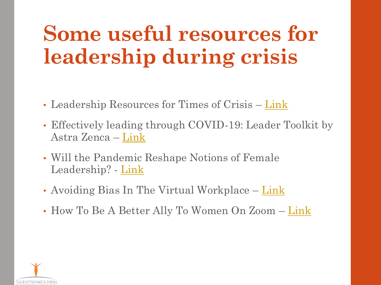# **Some useful resources for leadership during crisis**

- Leadership Resources for Times of Crisis [Link](https://www.ccl.org/coronavirus-resources/)
- Effectively leading through COVID-19: Leader Toolkit by Astra Zenca – [Link](https://www.astrazeneca.com/content/dam/az/PDF/2020/covid-19-toolkit/COVID-19_Leadership_Toolkit_-_External.pdf)
- Will the Pandemic Reshape Notions of Female Leadership? - <u>[Link](https://hbr.org/2020/06/will-the-pandemic-reshape-notions-of-female-leadership?utm_source=linkedin&utm_medium=social&utm_campaign=hbr)</u>
- Avoiding Bias In The Virtual Workplace [Link](https://www.forbes.com/sites/deloitte/2020/04/20/avoiding-bias-in-the-virtual-workplace/#44a023af74b7)
- How To Be A Better Ally To Women On Zoom [Link](https://in.mashable.com/social-good/13713/how-to-be-a-better-ally-to-women-on-zoom)

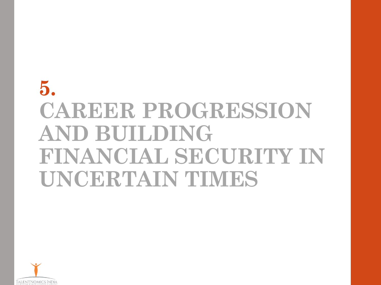# **5. CAREER PROGRESSION AND BUILDING FINANCIAL SECURITY IN UNCERTAIN TIMES**

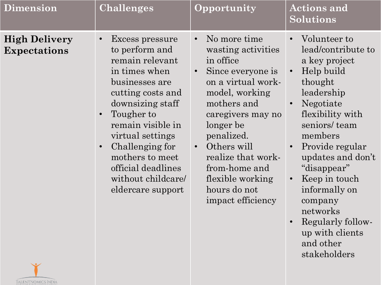| <b>Dimension</b>                                      | <b>Challenges</b>                                                                                                                                                                                                                                                                                                                     | Opportunity                                                                                                                                                                                                                                                                                                                       | <b>Actions and</b><br><b>Solutions</b>                                                                                                                                                                                                                                                                                                                                                                                    |
|-------------------------------------------------------|---------------------------------------------------------------------------------------------------------------------------------------------------------------------------------------------------------------------------------------------------------------------------------------------------------------------------------------|-----------------------------------------------------------------------------------------------------------------------------------------------------------------------------------------------------------------------------------------------------------------------------------------------------------------------------------|---------------------------------------------------------------------------------------------------------------------------------------------------------------------------------------------------------------------------------------------------------------------------------------------------------------------------------------------------------------------------------------------------------------------------|
| <b>High Delivery</b><br><b>Expectations</b><br>$\sim$ | Excess pressure<br>$\bullet$<br>to perform and<br>remain relevant<br>in times when<br>businesses are<br>cutting costs and<br>downsizing staff<br>Tougher to<br>$\bullet$<br>remain visible in<br>virtual settings<br>Challenging for<br>$\bullet$<br>mothers to meet<br>official deadlines<br>without childcare/<br>eldercare support | No more time<br>$\bullet$<br>wasting activities<br>in office<br>Since everyone is<br>$\bullet$<br>on a virtual work-<br>model, working<br>mothers and<br>caregivers may no<br>longer be<br>penalized.<br>Others will<br>$\bullet$<br>realize that work-<br>from-home and<br>flexible working<br>hours do not<br>impact efficiency | Volunteer to<br>$\bullet$<br>lead/contribute to<br>a key project<br>Help build<br>$\bullet$<br>thought<br>leadership<br>Negotiate<br>$\bullet$<br>flexibility with<br>seniors/team<br>members<br>Provide regular<br>$\bullet$<br>updates and don't<br>"disappear"<br>Keep in touch<br>$\bullet$<br>informally on<br>company<br>networks<br>Regularly follow-<br>$\bullet$<br>up with clients<br>and other<br>stakeholders |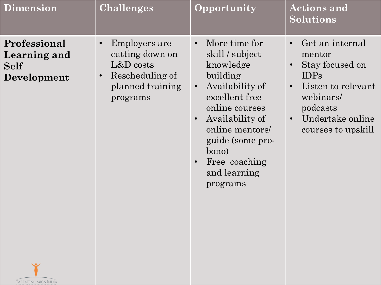| <b>Dimension</b>                                           | Challenges                                                                                                                           | Opportunity                                                                                                                                                                                                                                                                          | <b>Actions and</b><br><b>Solutions</b>                                                                                                                                                                   |
|------------------------------------------------------------|--------------------------------------------------------------------------------------------------------------------------------------|--------------------------------------------------------------------------------------------------------------------------------------------------------------------------------------------------------------------------------------------------------------------------------------|----------------------------------------------------------------------------------------------------------------------------------------------------------------------------------------------------------|
| Professional<br>Learning and<br><b>Self</b><br>Development | Employers are<br>$\bullet$<br>cutting down on<br>$L&D \text{ costs}$<br>Rescheduling of<br>$\bullet$<br>planned training<br>programs | More time for<br>$\bullet$<br>skill / subject<br>knowledge<br>building<br>Availability of<br>$\bullet$<br>excellent free<br>online courses<br>Availability of<br>$\bullet$<br>online mentors/<br>guide (some pro-<br>bono)<br>Free coaching<br>$\bullet$<br>and learning<br>programs | Get an internal<br>$\bullet$<br>mentor<br>Stay focused on<br>$\bullet$<br><b>IDPs</b><br>Listen to relevant<br>$\bullet$<br>webinars/<br>podcasts<br>Undertake online<br>$\bullet$<br>courses to upskill |

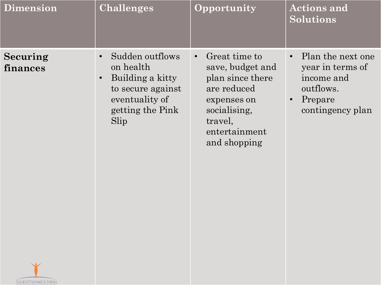| <b>Dimension</b>     | <b>Challenges</b>                                                                                                                             | Opportunity                                                                                                                                                  | <b>Actions and</b><br><b>Solutions</b>                                                                                    |
|----------------------|-----------------------------------------------------------------------------------------------------------------------------------------------|--------------------------------------------------------------------------------------------------------------------------------------------------------------|---------------------------------------------------------------------------------------------------------------------------|
| Securing<br>finances | Sudden outflows<br>$\bullet$<br>on health<br>Building a kitty<br>$\bullet$<br>to secure against<br>eventuality of<br>getting the Pink<br>Slip | Great time to<br>$\bullet$<br>save, budget and<br>plan since there<br>are reduced<br>expenses on<br>socialising,<br>travel,<br>entertainment<br>and shopping | Plan the next one<br>$\bullet$<br>year in terms of<br>income and<br>outflows.<br>Prepare<br>$\bullet$<br>contingency plan |

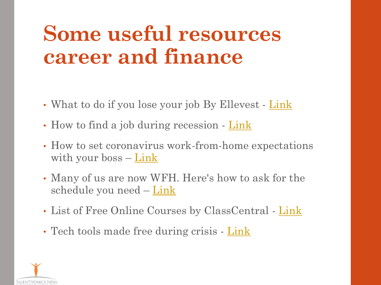# **Some useful resources career and finance**

- What to do if you lose your job By Ellevest [Link](https://www.ellevest.com/magazine/personal-finance/job-loss)
- How to find a job during recession [Link](https://economictimes.indiatimes.com/wealth/earn/finding-a-new-job-in-a-recession-will-be-a-challenge-heres-what-you-should-do/articleshow/74617444.cms?from=mdr)
- How to set coronavirus work-from-home expectations with your boss  $-\text{Link}$  $-\text{Link}$  $-\text{Link}$
- Many of us are now WFH. Here's how to ask for the schedule you need – [Link](https://edition.cnn.com/2020/03/25/success/ask-flexible-schedule/index.html)
- List of Free Online Courses by ClassCentral [Link](https://www.classcentral.com/)
- Tech tools made free during crisis [Link](http://ellenomics.in/articles/initiatives/tech%20tools%20made%20free%20-%20https:/www.entrepreneur.com/article/347840)

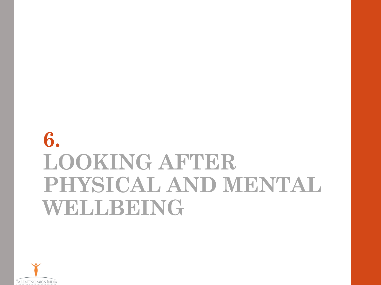## **6. LOOKING AFTER PHYSICAL AND MENTAL WELLBEING**

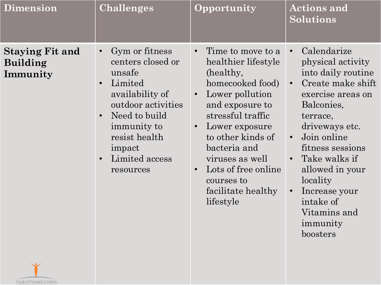| <b>Dimension</b>                                      | Challenges                                                                                                                                                                                                                                      | Opportunity                                                                                                                                                                                                                                                                                                                                | <b>Actions and</b><br><b>Solutions</b>                                                                                                                                                                                                                                                                                                                                 |
|-------------------------------------------------------|-------------------------------------------------------------------------------------------------------------------------------------------------------------------------------------------------------------------------------------------------|--------------------------------------------------------------------------------------------------------------------------------------------------------------------------------------------------------------------------------------------------------------------------------------------------------------------------------------------|------------------------------------------------------------------------------------------------------------------------------------------------------------------------------------------------------------------------------------------------------------------------------------------------------------------------------------------------------------------------|
| <b>Staying Fit and</b><br><b>Building</b><br>Immunity | Gym or fitness<br>$\bullet$<br>centers closed or<br>unsafe<br>Limited<br>$\bullet$<br>availability of<br>outdoor activities<br>Need to build<br>$\bullet$<br>immunity to<br>resist health<br>impact<br>Limited access<br>$\bullet$<br>resources | Time to move to a<br>$\bullet$<br>healthier lifestyle<br>(healthy,<br>homecooked food)<br>Lower pollution<br>$\bullet$<br>and exposure to<br>stressful traffic<br>Lower exposure<br>$\bullet$<br>to other kinds of<br>bacteria and<br>viruses as well<br>Lots of free online<br>$\bullet$<br>courses to<br>facilitate healthy<br>lifestyle | Calendarize<br>$\bullet$<br>physical activity<br>into daily routine<br>Create make shift<br>$\bullet$<br>exercise areas on<br>Balconies,<br>terrace,<br>driveways etc.<br>Join online<br>$\bullet$<br>fitness sessions<br>Take walks if<br>$\bullet$<br>allowed in your<br>locality<br>Increase your<br>$\bullet$<br>intake of<br>Vitamins and<br>immunity<br>boosters |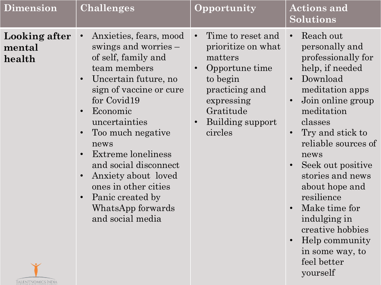| <b>Dimension</b>                  | <b>Challenges</b>                                                                                                                                                                                                                                                                                                                                                                         | Opportunity                                                                                                                                                                            | <b>Actions and</b><br>Solutions                                                                                                                                                                                                                                                                                                                                                                                                                                                  |
|-----------------------------------|-------------------------------------------------------------------------------------------------------------------------------------------------------------------------------------------------------------------------------------------------------------------------------------------------------------------------------------------------------------------------------------------|----------------------------------------------------------------------------------------------------------------------------------------------------------------------------------------|----------------------------------------------------------------------------------------------------------------------------------------------------------------------------------------------------------------------------------------------------------------------------------------------------------------------------------------------------------------------------------------------------------------------------------------------------------------------------------|
| Looking after<br>mental<br>health | Anxieties, fears, mood<br>swings and worries –<br>of self, family and<br>team members<br>Uncertain future, no<br>sign of vaccine or cure<br>for Covid19<br>Economic<br>uncertainties<br>Too much negative<br>news<br>Extreme loneliness<br>and social disconnect<br>Anxiety about loved<br>ones in other cities<br>Panic created by<br>$\bullet$<br>WhatsApp forwards<br>and social media | Time to reset and<br>$\bullet$<br>prioritize on what<br>matters<br>Opportune time<br>$\bullet$<br>to begin<br>practicing and<br>expressing<br>Gratitude<br>Building support<br>circles | Reach out<br>$\bullet$<br>personally and<br>professionally for<br>help, if needed<br>Download<br>$\bullet$<br>meditation apps<br>Join online group<br>$\bullet$<br>meditation<br>classes<br>Try and stick to<br>$\bullet$<br>reliable sources of<br>news<br>Seek out positive<br>$\bullet$<br>stories and news<br>about hope and<br>resilience<br>Make time for<br>$\bullet$<br>indulging in<br>creative hobbies<br>Help community<br>in some way, to<br>feel better<br>yourself |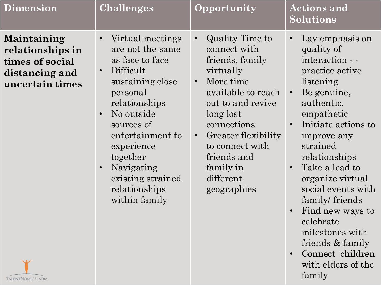| <b>Dimension</b>                                                                        | <b>Challenges</b>                                                                                                                                                                                                                                                                                                        | <b>Opportunity</b>                                                                                                                                                                                                                                                                           | <b>Actions and</b><br><b>Solutions</b>                                                                                                                                                                                                                                                                                                                                                                                                             |
|-----------------------------------------------------------------------------------------|--------------------------------------------------------------------------------------------------------------------------------------------------------------------------------------------------------------------------------------------------------------------------------------------------------------------------|----------------------------------------------------------------------------------------------------------------------------------------------------------------------------------------------------------------------------------------------------------------------------------------------|----------------------------------------------------------------------------------------------------------------------------------------------------------------------------------------------------------------------------------------------------------------------------------------------------------------------------------------------------------------------------------------------------------------------------------------------------|
| Maintaining<br>relationships in<br>times of social<br>distancing and<br>uncertain times | Virtual meetings<br>$\bullet$<br>are not the same<br>as face to face<br>Difficult<br>$\bullet$<br>sustaining close<br>personal<br>relationships<br>No outside<br>$\bullet$<br>sources of<br>entertainment to<br>experience<br>together<br>Navigating<br>$\bullet$<br>existing strained<br>relationships<br>within family | Quality Time to<br>$\bullet$<br>connect with<br>friends, family<br>virtually<br>More time<br>$\bullet$<br>available to reach<br>out to and revive<br>long lost<br>connections<br>Greater flexibility<br>$\bullet$<br>to connect with<br>friends and<br>family in<br>different<br>geographies | Lay emphasis on<br>quality of<br>interaction - -<br>practice active<br>listening<br>Be genuine,<br>$\bullet$<br>authentic,<br>empathetic<br>Initiate actions to<br>improve any<br>strained<br>relationships<br>Take a lead to<br>$\bullet$<br>organize virtual<br>social events with<br>family/friends<br>Find new ways to<br>$\bullet$<br>celebrate<br>milestones with<br>friends & family<br>Connect children<br>$\bullet$<br>with elders of the |

family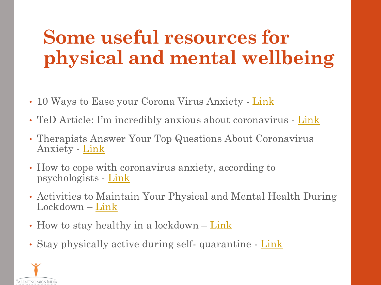## **Some useful resources for physical and mental wellbeing**

- 10 Ways to Ease your Corona Virus Anxiety [Link](https://www.nytimes.com/2020/03/18/smarter-living/coronavirus-anxiety-tips.html)
- TeD Article: I'm incredibly anxious about coronavirus [Link](https://ideas.ted.com/dear-guy-im-incredibly-anxious-about-coronavirus-what-can-i-do/)
- Therapists Answer Your Top Questions About Coronavirus Anxiety - [Link](https://advice.shinetext.com/articles/therapists-answer-your-top-questions-about-coronavirus-anxiety/?utm_source=Shine&utm_medium=CareForYourCoronavirusAnxiety)
- How to cope with coronavirus anxiety, according to psychologists - [Link](https://www.businessinsider.in/science/news/how-to-cope-with-coronavirus-anxiety-according-to-psychologists/articleshow/74325359.cms)
- Activities to Maintain Your Physical and Mental Health During Lockdown – <u>[Link](https://www.now-health.com/en/blog/activities-to-maintain-your-physical-and-mental-health-during-lockdown/)</u>
- How to stay healthy in a lockdown [Link](https://www.healthnavigator.org.nz/healthy-living/c/covid-19-staying-healthy-in-a-lockdown/)
- Stay physically active during self-quarantine [Link](https://www.euro.who.int/en/health-topics/health-emergencies/coronavirus-covid-19/technical-guidance/stay-physically-active-during-self-quarantine)

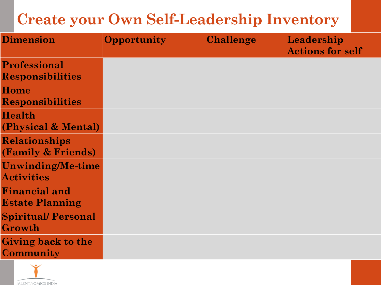#### **Create your Own Self-Leadership Inventory**

| <b>Dimension</b>                               | <b>Opportunity</b> | <b>Challenge</b> | Leadership<br><b>Actions for self</b> |
|------------------------------------------------|--------------------|------------------|---------------------------------------|
| <b>Professional</b><br><b>Responsibilities</b> |                    |                  |                                       |
| Home<br><b>Responsibilities</b>                |                    |                  |                                       |
| Health<br>(Physical & Mental)                  |                    |                  |                                       |
| Relationships<br>(Family & Friends)            |                    |                  |                                       |
| <b>Unwinding/Me-time</b><br><b>Activities</b>  |                    |                  |                                       |
| <b>Financial and</b><br><b>Estate Planning</b> |                    |                  |                                       |
| <b>Spiritual/Personal</b><br>Growth            |                    |                  |                                       |
| <b>Giving back to the</b><br>Community         |                    |                  |                                       |

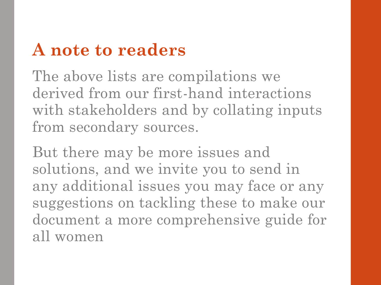#### **A note to readers**

The above lists are compilations we derived from our first-hand interactions with stakeholders and by collating inputs from secondary sources.

But there may be more issues and solutions, and we invite you to send in any additional issues you may face or any suggestions on tackling these to make our document a more comprehensive guide for all women